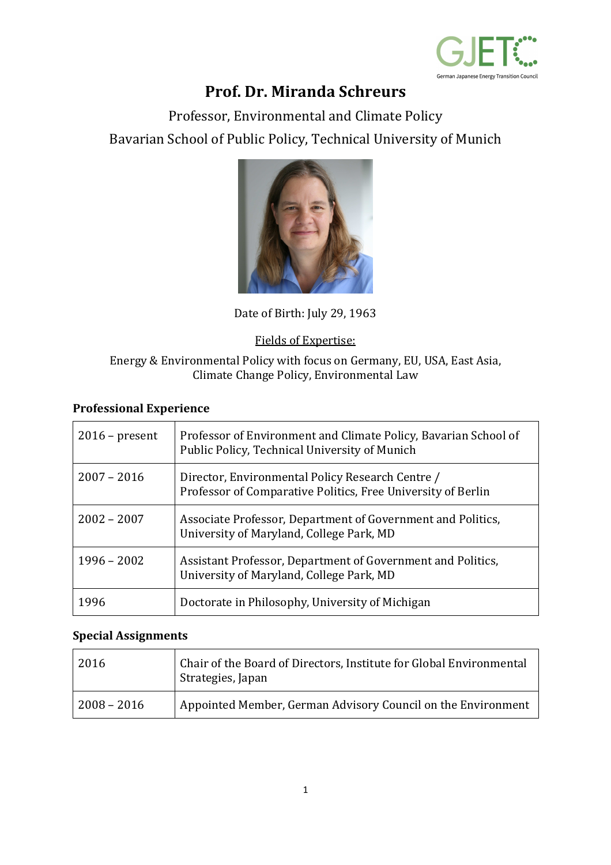

# **Prof. Dr. Miranda Schreurs**

Professor, Environmental and Climate Policy Bavarian School of Public Policy, Technical University of Munich



Date of Birth: July 29, 1963

### Fields of Expertise:

#### Energy & Environmental Policy with focus on Germany, EU, USA, East Asia, Climate Change Policy, Environmental Law

### **Professional Experience**

| $2016$ – present | Professor of Environment and Climate Policy, Bavarian School of<br>Public Policy, Technical University of Munich |
|------------------|------------------------------------------------------------------------------------------------------------------|
| $2007 - 2016$    | Director, Environmental Policy Research Centre /<br>Professor of Comparative Politics, Free University of Berlin |
| $2002 - 2007$    | Associate Professor, Department of Government and Politics,<br>University of Maryland, College Park, MD          |
| $1996 - 2002$    | Assistant Professor, Department of Government and Politics,<br>University of Maryland, College Park, MD          |
| 1996             | Doctorate in Philosophy, University of Michigan                                                                  |

#### **Special Assignments**

| 2016          | Chair of the Board of Directors, Institute for Global Environmental<br><sup>I</sup> Strategies, Japan |
|---------------|-------------------------------------------------------------------------------------------------------|
| $2008 - 2016$ | Appointed Member, German Advisory Council on the Environment                                          |